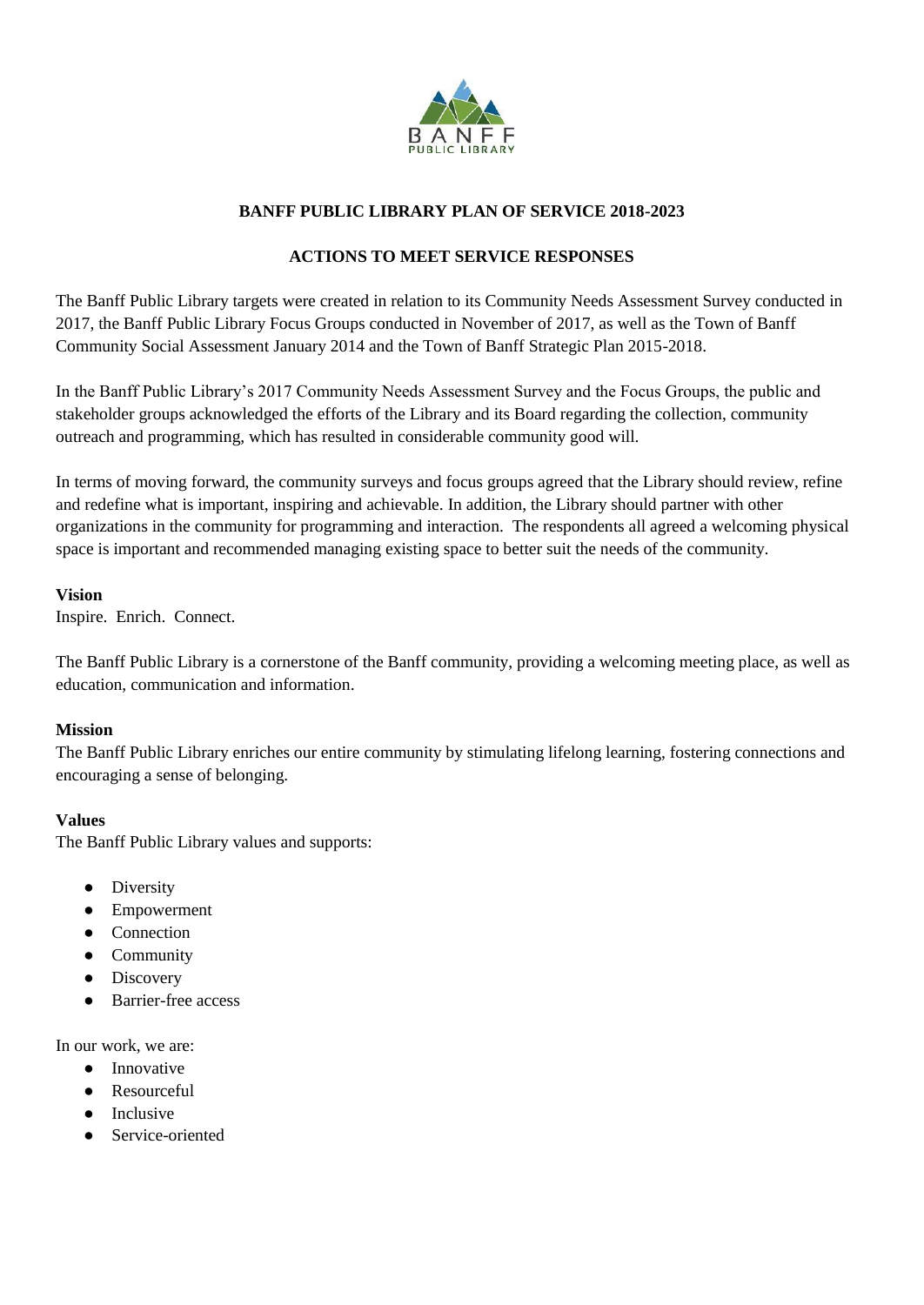

## **BANFF PUBLIC LIBRARY PLAN OF SERVICE 2018-2023**

# **ACTIONS TO MEET SERVICE RESPONSES**

The Banff Public Library targets were created in relation to its Community Needs Assessment Survey conducted in 2017, the Banff Public Library Focus Groups conducted in November of 2017, as well as the Town of Banff Community Social Assessment January 2014 and the Town of Banff Strategic Plan 2015-2018.

In the Banff Public Library's 2017 Community Needs Assessment Survey and the Focus Groups, the public and stakeholder groups acknowledged the efforts of the Library and its Board regarding the collection, community outreach and programming, which has resulted in considerable community good will.

In terms of moving forward, the community surveys and focus groups agreed that the Library should review, refine and redefine what is important, inspiring and achievable. In addition, the Library should partner with other organizations in the community for programming and interaction. The respondents all agreed a welcoming physical space is important and recommended managing existing space to better suit the needs of the community.

#### **Vision**

Inspire. Enrich. Connect.

The Banff Public Library is a cornerstone of the Banff community, providing a welcoming meeting place, as well as education, communication and information.

#### **Mission**

The Banff Public Library enriches our entire community by stimulating lifelong learning, fostering connections and encouraging a sense of belonging.

#### **Values**

The Banff Public Library values and supports:

- Diversity
- Empowerment
- Connection
- Community
- Discovery
- Barrier-free access

In our work, we are:

- Innovative
- Resourceful
- Inclusive
- Service-oriented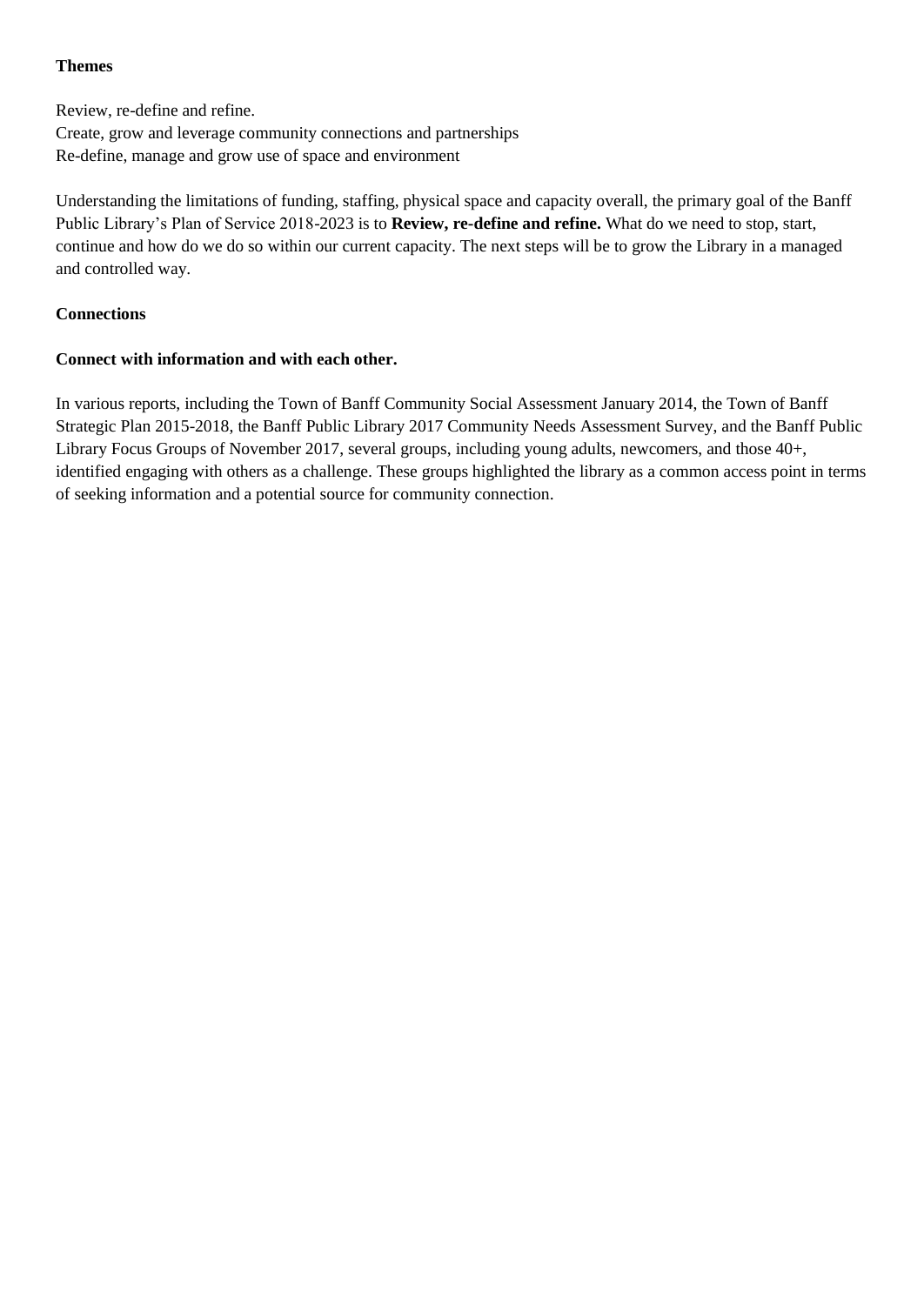#### **Themes**

Review, re-define and refine. Create, grow and leverage community connections and partnerships Re-define, manage and grow use of space and environment

Understanding the limitations of funding, staffing, physical space and capacity overall, the primary goal of the Banff Public Library's Plan of Service 2018-2023 is to **Review, re-define and refine.** What do we need to stop, start, continue and how do we do so within our current capacity. The next steps will be to grow the Library in a managed and controlled way.

#### **Connections**

### **Connect with information and with each other.**

In various reports, including the Town of Banff Community Social Assessment January 2014, the Town of Banff Strategic Plan 2015-2018, the Banff Public Library 2017 Community Needs Assessment Survey, and the Banff Public Library Focus Groups of November 2017, several groups, including young adults, newcomers, and those 40+, identified engaging with others as a challenge. These groups highlighted the library as a common access point in terms of seeking information and a potential source for community connection.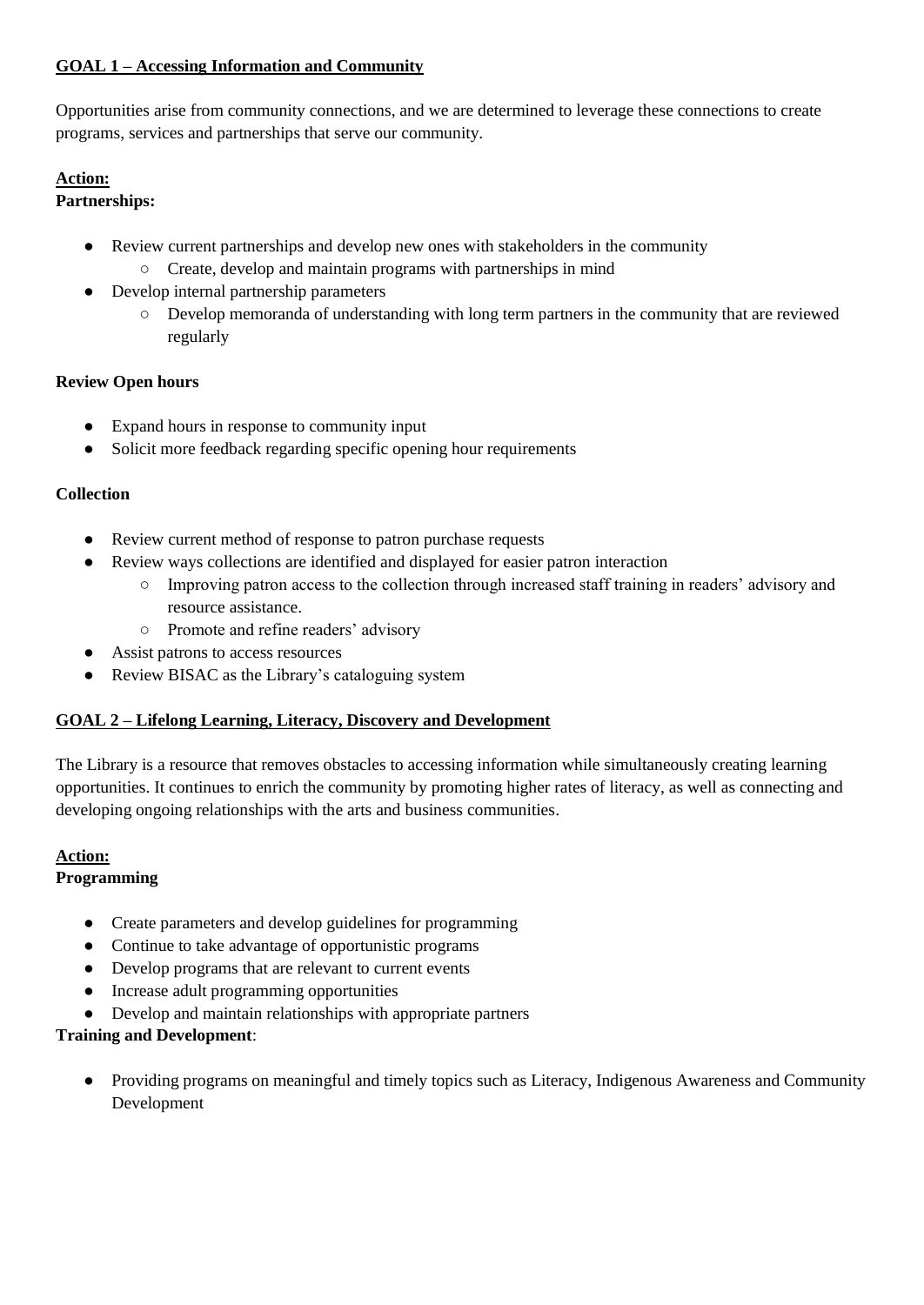### **GOAL 1 – Accessing Information and Community**

Opportunities arise from community connections, and we are determined to leverage these connections to create programs, services and partnerships that serve our community.

# **Action:**

## **Partnerships:**

- Review current partnerships and develop new ones with stakeholders in the community ○ Create, develop and maintain programs with partnerships in mind
- Develop internal partnership parameters
	- Develop memoranda of understanding with long term partners in the community that are reviewed regularly

### **Review Open hours**

- Expand hours in response to community input
- Solicit more feedback regarding specific opening hour requirements

## **Collection**

- Review current method of response to patron purchase requests
- Review ways collections are identified and displayed for easier patron interaction
	- Improving patron access to the collection through increased staff training in readers' advisory and resource assistance.
	- Promote and refine readers' advisory
- Assist patrons to access resources
- Review BISAC as the Library's cataloguing system

## **GOAL 2 – Lifelong Learning, Literacy, Discovery and Development**

The Library is a resource that removes obstacles to accessing information while simultaneously creating learning opportunities. It continues to enrich the community by promoting higher rates of literacy, as well as connecting and developing ongoing relationships with the arts and business communities.

#### **Action:**

## **Programming**

- Create parameters and develop guidelines for programming
- Continue to take advantage of opportunistic programs
- Develop programs that are relevant to current events
- Increase adult programming opportunities
- Develop and maintain relationships with appropriate partners

## **Training and Development**:

● Providing programs on meaningful and timely topics such as Literacy, Indigenous Awareness and Community Development